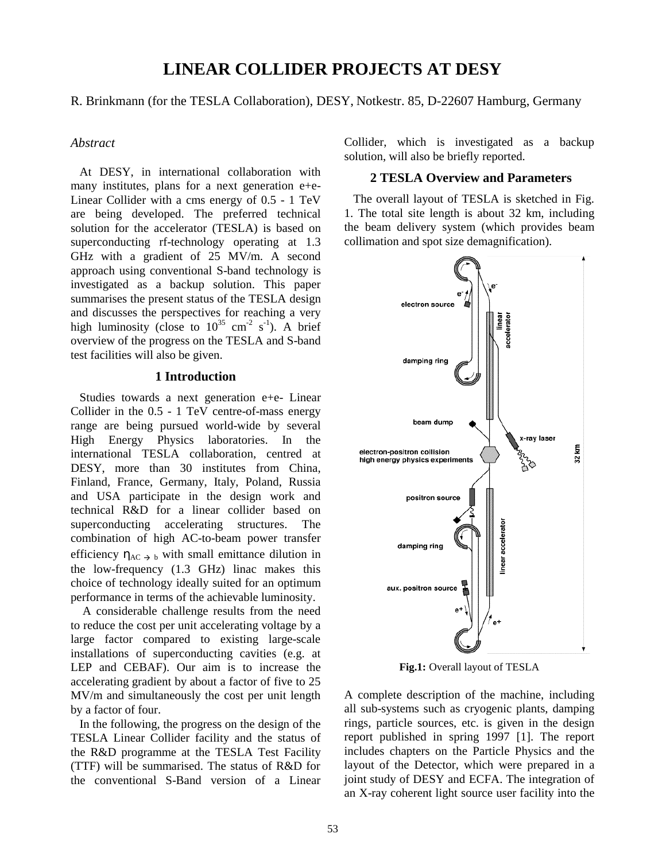# **LINEAR COLLIDER PROJECTS AT DESY**

#### R. Brinkmann (for the TESLA Collaboration), DESY, Notkestr. 85, D-22607 Hamburg, Germany

## *Abstract*

 At DESY, in international collaboration with many institutes, plans for a next generation e+e-Linear Collider with a cms energy of 0.5 - 1 TeV are being developed. The preferred technical solution for the accelerator (TESLA) is based on superconducting rf-technology operating at 1.3 GHz with a gradient of 25 MV/m. A second approach using conventional S-band technology is investigated as a backup solution. This paper summarises the present status of the TESLA design and discusses the perspectives for reaching a very high luminosity (close to  $10^{35}$  cm<sup>-2</sup> s<sup>-1</sup>). A brief overview of the progress on the TESLA and S-band test facilities will also be given.

#### **1 Introduction**

 Studies towards a next generation e+e- Linear Collider in the 0.5 - 1 TeV centre-of-mass energy range are being pursued world-wide by several High Energy Physics laboratories. In the international TESLA collaboration, centred at DESY, more than 30 institutes from China, Finland, France, Germany, Italy, Poland, Russia and USA participate in the design work and technical R&D for a linear collider based on superconducting accelerating structures. The combination of high AC-to-beam power transfer efficiency  $\eta_{AC}$   $\rightarrow$  b with small emittance dilution in the low-frequency (1.3 GHz) linac makes this choice of technology ideally suited for an optimum performance in terms of the achievable luminosity.

 A considerable challenge results from the need to reduce the cost per unit accelerating voltage by a large factor compared to existing large-scale installations of superconducting cavities (e.g. at LEP and CEBAF). Our aim is to increase the accelerating gradient by about a factor of five to 25 MV/m and simultaneously the cost per unit length by a factor of four.

 In the following, the progress on the design of the TESLA Linear Collider facility and the status of the R&D programme at the TESLA Test Facility (TTF) will be summarised. The status of R&D for the conventional S-Band version of a Linear

Collider, which is investigated as a backup solution, will also be briefly reported.

#### **2 TESLA Overview and Parameters**

 The overall layout of TESLA is sketched in Fig. 1. The total site length is about 32 km, including the beam delivery system (which provides beam collimation and spot size demagnification).



**Fig.1:** Overall layout of TESLA

A complete description of the machine, including all sub-systems such as cryogenic plants, damping rings, particle sources, etc. is given in the design report published in spring 1997 [1]. The report includes chapters on the Particle Physics and the layout of the Detector, which were prepared in a joint study of DESY and ECFA. The integration of an X-ray coherent light source user facility into the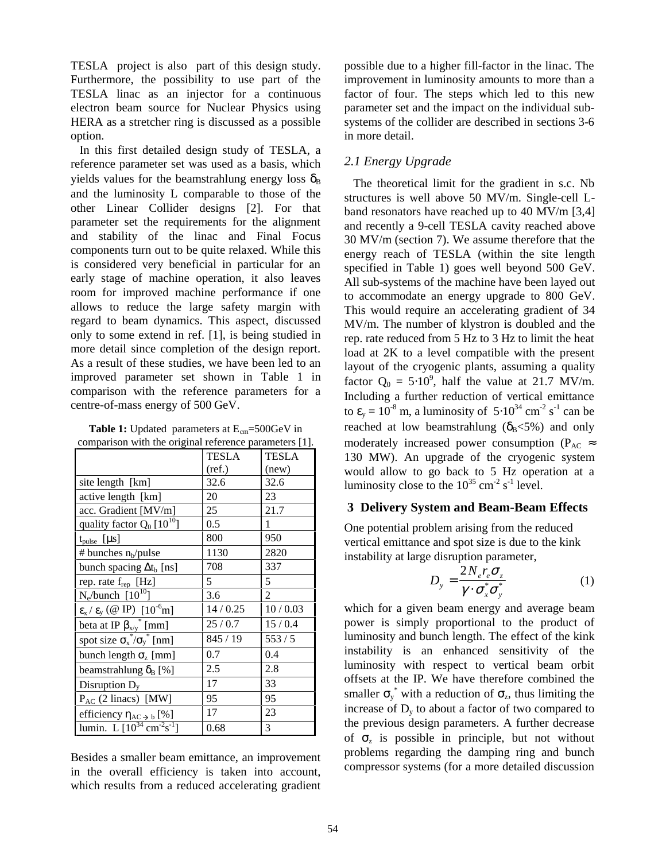TESLA project is also part of this design study. Furthermore, the possibility to use part of the TESLA linac as an injector for a continuous electron beam source for Nuclear Physics using HERA as a stretcher ring is discussed as a possible option.

 In this first detailed design study of TESLA, a reference parameter set was used as a basis, which yields values for the beamstrahlung energy loss  $\delta_B$ and the luminosity L comparable to those of the other Linear Collider designs [2]. For that parameter set the requirements for the alignment and stability of the linac and Final Focus components turn out to be quite relaxed. While this is considered very beneficial in particular for an early stage of machine operation, it also leaves room for improved machine performance if one allows to reduce the large safety margin with regard to beam dynamics. This aspect, discussed only to some extend in ref. [1], is being studied in more detail since completion of the design report. As a result of these studies, we have been led to an improved parameter set shown in Table 1 in comparison with the reference parameters for a centre-of-mass energy of 500 GeV.

**Table 1:** Updated parameters at E<sub>cm</sub>=500GeV in

| comparison with the original reference parameters [1].      |          |                |
|-------------------------------------------------------------|----------|----------------|
|                                                             | TESLA    | <b>TESLA</b>   |
|                                                             | (ref.)   | (new)          |
| site length [km]                                            | 32.6     | 32.6           |
| active length [km]                                          | 20       | 23             |
| acc. Gradient [MV/m]                                        | 25       | 21.7           |
| quality factor $Q_0$ [10 <sup>10</sup> ]                    | 0.5      | 1              |
| $t_{pulse}$ [ $\mu s$ ]                                     | 800      | 950            |
| # bunches $n_b$ /pulse                                      | 1130     | 2820           |
| bunch spacing $\Delta t_b$ [ns]                             | 708      | 337            |
| rep. rate f <sub>rep</sub> [Hz]                             | 5        | 5              |
| $N_e/bunch$ [ $10^{10}$ ]                                   | 3.6      | $\overline{2}$ |
| $\epsilon_{x}$ / $\epsilon_{y}$ (@ IP) [10 <sup>-6</sup> m] | 14/0.25  | 10/0.03        |
| beta at IP $\beta_{x/y}$ <sup>*</sup> [mm]                  | 25/0.7   | 15/0.4         |
| spot size $\sigma_x^* / \sigma_y^*$ [nm]                    | 845 / 19 | 553/5          |
| bunch length $\sigma_z$ [mm]                                | 0.7      | 0.4            |
| beamstrahlung $\delta_{\rm B}$ [%]                          | 2.5      | 2.8            |
| Disruption $D_y$                                            | 17       | 33             |
| $P_{AC}$ (2 linacs) [MW]                                    | 95       | 95             |
| efficiency $\eta_{AC \rightarrow b}$ [%]                    | 17       | 23             |
| lumin. L $[10^{34} \text{ cm}^{-2} \text{s}^{-1}]$          | 0.68     | 3              |

Besides a smaller beam emittance, an improvement in the overall efficiency is taken into account, which results from a reduced accelerating gradient possible due to a higher fill-factor in the linac. The improvement in luminosity amounts to more than a factor of four. The steps which led to this new parameter set and the impact on the individual subsystems of the collider are described in sections 3-6 in more detail.

# *2.1 Energy Upgrade*

 The theoretical limit for the gradient in s.c. Nb structures is well above 50 MV/m. Single-cell Lband resonators have reached up to 40 MV/m [3,4] and recently a 9-cell TESLA cavity reached above 30 MV/m (section 7). We assume therefore that the energy reach of TESLA (within the site length specified in Table 1) goes well beyond 500 GeV. All sub-systems of the machine have been layed out to accommodate an energy upgrade to 800 GeV. This would require an accelerating gradient of 34 MV/m. The number of klystron is doubled and the rep. rate reduced from 5 Hz to 3 Hz to limit the heat load at 2K to a level compatible with the present layout of the cryogenic plants, assuming a quality factor  $Q_0 = 5.10^9$ , half the value at 21.7 MV/m. Including a further reduction of vertical emittance to  $\varepsilon_y = 10^{-8}$  m, a luminosity of  $5 \cdot 10^{34}$  cm<sup>-2</sup> s<sup>-1</sup> can be reached at low beamstrahlung ( $\delta_B$ <5%) and only moderately increased power consumption ( $P_{AC} \approx$ 130 MW). An upgrade of the cryogenic system would allow to go back to 5 Hz operation at a luminosity close to the  $10^{35}$  cm<sup>-2</sup> s<sup>-1</sup> level.

### **3 Delivery System and Beam-Beam Effects**

One potential problem arising from the reduced vertical emittance and spot size is due to the kink instability at large disruption parameter,

$$
D_{y} = \frac{2N_{e}r_{e}\sigma_{z}}{\gamma \cdot \sigma_{x}^{*}\sigma_{y}^{*}}
$$
 (1)

which for a given beam energy and average beam power is simply proportional to the product of luminosity and bunch length. The effect of the kink instability is an enhanced sensitivity of the luminosity with respect to vertical beam orbit offsets at the IP. We have therefore combined the smaller  $\sigma_y^*$  with a reduction of  $\sigma_z$ , thus limiting the increase of  $D<sub>v</sub>$  to about a factor of two compared to the previous design parameters. A further decrease of  $\sigma_z$  is possible in principle, but not without problems regarding the damping ring and bunch compressor systems (for a more detailed discussion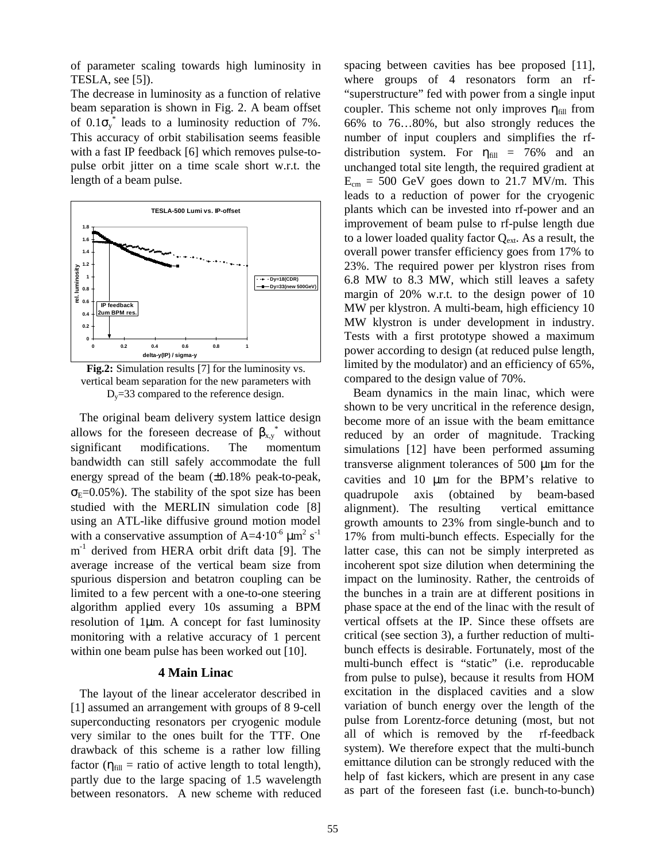of parameter scaling towards high luminosity in TESLA, see [5]).

The decrease in luminosity as a function of relative beam separation is shown in Fig. 2. A beam offset of  $0.1\sigma_y^*$  leads to a luminosity reduction of 7%. This accuracy of orbit stabilisation seems feasible with a fast IP feedback [6] which removes pulse-topulse orbit jitter on a time scale short w.r.t. the length of a beam pulse.



**Fig.2:** Simulation results [7] for the luminosity vs. vertical beam separation for the new parameters with  $D_y = 33$  compared to the reference design.

 The original beam delivery system lattice design allows for the foreseen decrease of  $\beta_{x,y}$ <sup>\*</sup> without significant modifications. The momentum bandwidth can still safely accommodate the full energy spread of the beam (±0.18% peak-to-peak,  $\sigma_{\rm E}$ =0.05%). The stability of the spot size has been studied with the MERLIN simulation code [8] using an ATL-like diffusive ground motion model with a conservative assumption of A=4⋅10<sup>-6</sup>  $\mu$ m<sup>2</sup> s<sup>-1</sup>  $m^{-1}$  derived from HERA orbit drift data [9]. The average increase of the vertical beam size from spurious dispersion and betatron coupling can be limited to a few percent with a one-to-one steering algorithm applied every 10s assuming a BPM resolution of 1µm. A concept for fast luminosity monitoring with a relative accuracy of 1 percent within one beam pulse has been worked out [10].

#### **4 Main Linac**

 The layout of the linear accelerator described in [1] assumed an arrangement with groups of 8 9-cell superconducting resonators per cryogenic module very similar to the ones built for the TTF. One drawback of this scheme is a rather low filling factor ( $\eta_{fill}$  = ratio of active length to total length), partly due to the large spacing of 1.5 wavelength between resonators. A new scheme with reduced

spacing between cavities has bee proposed [11], where groups of 4 resonators form an rf- "superstructure" fed with power from a single input coupler. This scheme not only improves  $\eta_{\text{fill}}$  from 66% to 76…80%, but also strongly reduces the number of input couplers and simplifies the rfdistribution system. For  $\eta_{\text{fill}} = 76\%$  and an unchanged total site length, the required gradient at  $E_{cm} = 500$  GeV goes down to 21.7 MV/m. This leads to a reduction of power for the cryogenic plants which can be invested into rf-power and an improvement of beam pulse to rf-pulse length due to a lower loaded quality factor  $Q_{ext}$ . As a result, the overall power transfer efficiency goes from 17% to 23%. The required power per klystron rises from 6.8 MW to 8.3 MW, which still leaves a safety margin of 20% w.r.t. to the design power of 10 MW per klystron. A multi-beam, high efficiency 10 MW klystron is under development in industry. Tests with a first prototype showed a maximum power according to design (at reduced pulse length, limited by the modulator) and an efficiency of 65%, compared to the design value of 70%.

 Beam dynamics in the main linac, which were shown to be very uncritical in the reference design, become more of an issue with the beam emittance reduced by an order of magnitude. Tracking simulations [12] have been performed assuming transverse alignment tolerances of 500 µm for the cavities and 10 µm for the BPM's relative to quadrupole axis (obtained by beam-based alignment). The resulting vertical emittance growth amounts to 23% from single-bunch and to 17% from multi-bunch effects. Especially for the latter case, this can not be simply interpreted as incoherent spot size dilution when determining the impact on the luminosity. Rather, the centroids of the bunches in a train are at different positions in phase space at the end of the linac with the result of vertical offsets at the IP. Since these offsets are critical (see section 3), a further reduction of multibunch effects is desirable. Fortunately, most of the multi-bunch effect is "static" (i.e. reproducable from pulse to pulse), because it results from HOM excitation in the displaced cavities and a slow variation of bunch energy over the length of the pulse from Lorentz-force detuning (most, but not all of which is removed by the rf-feedback system). We therefore expect that the multi-bunch emittance dilution can be strongly reduced with the help of fast kickers, which are present in any case as part of the foreseen fast (i.e. bunch-to-bunch)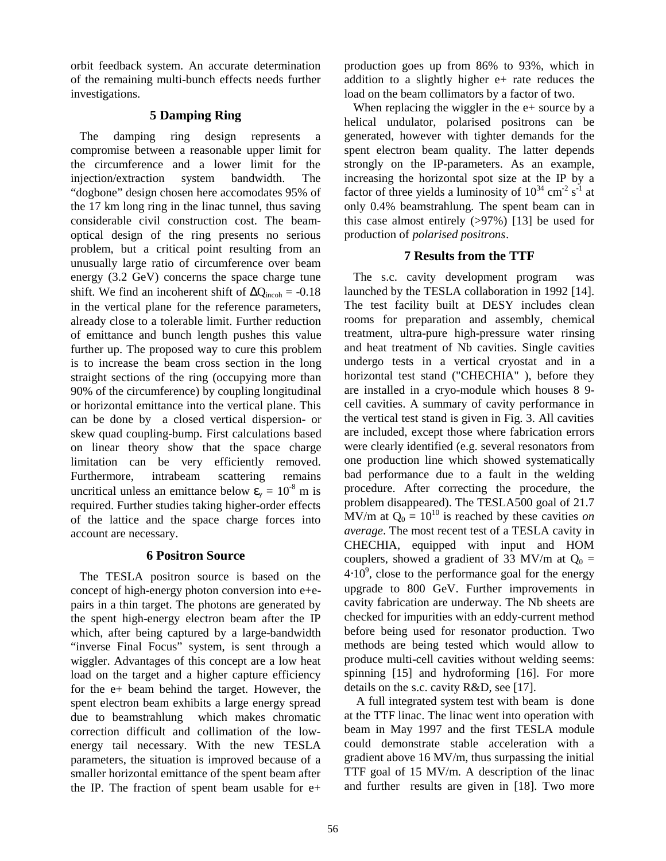orbit feedback system. An accurate determination of the remaining multi-bunch effects needs further investigations.

## **5 Damping Ring**

 The damping ring design represents a compromise between a reasonable upper limit for the circumference and a lower limit for the injection/extraction system bandwidth. The "dogbone" design chosen here accomodates 95% of the 17 km long ring in the linac tunnel, thus saving considerable civil construction cost. The beamoptical design of the ring presents no serious problem, but a critical point resulting from an unusually large ratio of circumference over beam energy (3.2 GeV) concerns the space charge tune shift. We find an incoherent shift of  $\Delta Q_{\text{incoh}} = -0.18$ in the vertical plane for the reference parameters, already close to a tolerable limit. Further reduction of emittance and bunch length pushes this value further up. The proposed way to cure this problem is to increase the beam cross section in the long straight sections of the ring (occupying more than 90% of the circumference) by coupling longitudinal or horizontal emittance into the vertical plane. This can be done by a closed vertical dispersion- or skew quad coupling-bump. First calculations based on linear theory show that the space charge limitation can be very efficiently removed. Furthermore, intrabeam scattering remains uncritical unless an emittance below  $\varepsilon_v = 10^{-8}$  m is required. Further studies taking higher-order effects of the lattice and the space charge forces into account are necessary.

## **6 Positron Source**

 The TESLA positron source is based on the concept of high-energy photon conversion into e+epairs in a thin target. The photons are generated by the spent high-energy electron beam after the IP which, after being captured by a large-bandwidth "inverse Final Focus" system, is sent through a wiggler. Advantages of this concept are a low heat load on the target and a higher capture efficiency for the e+ beam behind the target. However, the spent electron beam exhibits a large energy spread due to beamstrahlung which makes chromatic correction difficult and collimation of the lowenergy tail necessary. With the new TESLA parameters, the situation is improved because of a smaller horizontal emittance of the spent beam after the IP. The fraction of spent beam usable for e+

production goes up from 86% to 93%, which in addition to a slightly higher e+ rate reduces the load on the beam collimators by a factor of two.

When replacing the wiggler in the  $e+$  source by a helical undulator, polarised positrons can be generated, however with tighter demands for the spent electron beam quality. The latter depends strongly on the IP-parameters. As an example, increasing the horizontal spot size at the IP by a factor of three yields a luminosity of  $10^{34}$  cm<sup>-2</sup> s<sup>-1</sup> at only 0.4% beamstrahlung. The spent beam can in this case almost entirely  $(>97%)$  [13] be used for production of *polarised positrons*.

## **7 Results from the TTF**

 The s.c. cavity development program was launched by the TESLA collaboration in 1992 [14]. The test facility built at DESY includes clean rooms for preparation and assembly, chemical treatment, ultra-pure high-pressure water rinsing and heat treatment of Nb cavities. Single cavities undergo tests in a vertical cryostat and in a horizontal test stand ("CHECHIA" ), before they are installed in a cryo-module which houses 8 9 cell cavities. A summary of cavity performance in the vertical test stand is given in Fig. 3. All cavities are included, except those where fabrication errors were clearly identified (e.g. several resonators from one production line which showed systematically bad performance due to a fault in the welding procedure. After correcting the procedure, the problem disappeared). The TESLA500 goal of 21.7 MV/m at  $Q_0 = 10^{10}$  is reached by these cavities *on average*. The most recent test of a TESLA cavity in CHECHIA, equipped with input and HOM couplers, showed a gradient of 33 MV/m at  $Q_0 =$  $4·10<sup>9</sup>$ , close to the performance goal for the energy upgrade to 800 GeV. Further improvements in cavity fabrication are underway. The Nb sheets are checked for impurities with an eddy-current method before being used for resonator production. Two methods are being tested which would allow to produce multi-cell cavities without welding seems: spinning [15] and hydroforming [16]. For more details on the s.c. cavity R&D, see [17].

 A full integrated system test with beam is done at the TTF linac. The linac went into operation with beam in May 1997 and the first TESLA module could demonstrate stable acceleration with a gradient above 16 MV/m, thus surpassing the initial TTF goal of 15 MV/m. A description of the linac and further results are given in [18]. Two more